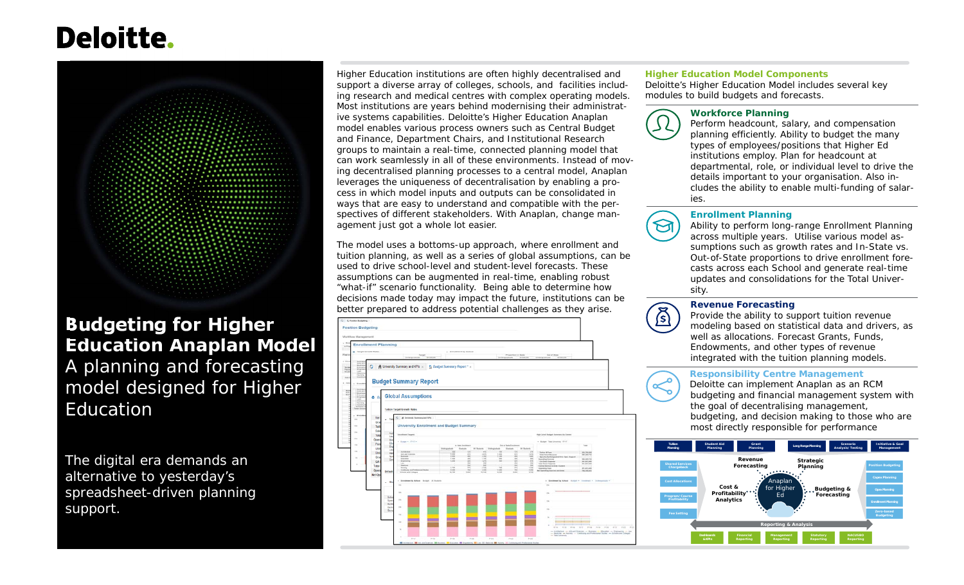# **Deloitte.**



# **Budgeting for Higher Education Anaplan Model** A planning and forecasting model designed for Higher Education

The digital era demands an alternative to yesterday's spreadsheet-driven planning support.

Higher Education institutions are often highly decentralised and support a diverse array of colleges, schools, and facilities including research and medical centres with complex operating models. Most institutions are years behind modernising their administrative systems capabilities. Deloitte's Higher Education Anaplan model enables various process owners such as Central Budget and Finance, Department Chairs, and Institutional Research groups to maintain a real-time, connected planning model that can work seamlessly in all of these environments. Instead of moving decentralised planning processes to a central model, Anaplan leverages the uniqueness of decentralisation by enabling a process in which model inputs and outputs can be consolidated in ways that are easy to understand and compatible with the perspectives of different stakeholders. With Anaplan, change management just got a whole lot easier.

The model uses a bottoms-up approach, where enrollment and tuition planning, as well as a series of global assumptions, can be used to drive school-level and student-level forecasts. These assumptions can be augmented in real-time, enabling robust "what-if" scenario functionality. Being able to determine how decisions made today may impact the future, institutions can be better prepared to address potential challenges as they arise.



#### **Higher Education Model Components**

 Deloitte's Higher Education Model includes several key modules to build budgets and forecasts.



#### **Workforce Planning**

 Perform headcount, salary, and compensation planning efficiently. Ability to budget the many types of employees/positions that Higher Ed institutions employ. Plan for headcount at departmental, role, or individual level to drive the details important to your organisation. Also includes the ability to enable multi-funding of salaries.



 $\mathbb{Z}$ 

#### **Enrollment Planning**

 Ability to perform long-range Enrollment Planning across multiple years. Utilise various model assumptions such as growth rates and In-State vs. Out-of-State proportions to drive enrollment forecasts across each School and generate real-time updates and consolidations for the Total University.



#### **Revenue Forecasting**

 Provide the ability to support tuition revenue modeling based on statistical data and drivers, as well as allocations. Forecast Grants, Funds, Endowments, and other types of revenue integrated with the tuition planning models.

#### **Responsibility Centre Management**

 Deloitte can implement Anaplan as an RCM budgeting and financial management system with the goal of decentralising management, budgeting, and decision making to those who are most directly responsible for performance